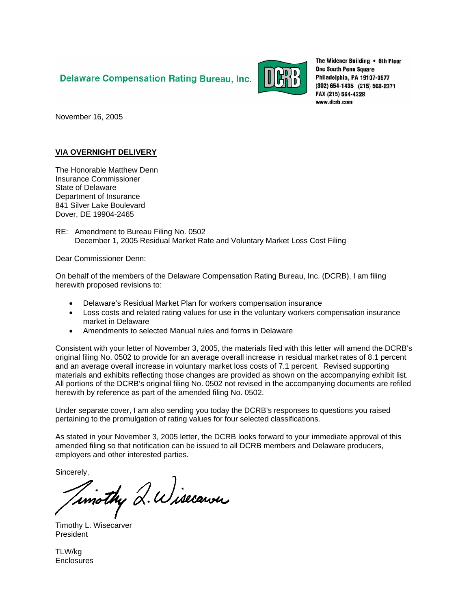## **Delaware Compensation Rating Bureau, Inc.**



The Widener Building . 6th Floor **One South Penn Square** Philadelphia, PA 19107-3577 (302) 654-1435 (215) 568-2371 FAX (215) 564-4328 www.dcrb.com

November 16, 2005

## **VIA OVERNIGHT DELIVERY**

The Honorable Matthew Denn Insurance Commissioner State of Delaware Department of Insurance 841 Silver Lake Boulevard Dover, DE 19904-2465

RE: Amendment to Bureau Filing No. 0502 December 1, 2005 Residual Market Rate and Voluntary Market Loss Cost Filing

Dear Commissioner Denn:

On behalf of the members of the Delaware Compensation Rating Bureau, Inc. (DCRB), I am filing herewith proposed revisions to:

- Delaware's Residual Market Plan for workers compensation insurance
- Loss costs and related rating values for use in the voluntary workers compensation insurance market in Delaware
- Amendments to selected Manual rules and forms in Delaware

Consistent with your letter of November 3, 2005, the materials filed with this letter will amend the DCRB's original filing No. 0502 to provide for an average overall increase in residual market rates of 8.1 percent and an average overall increase in voluntary market loss costs of 7.1 percent. Revised supporting materials and exhibits reflecting those changes are provided as shown on the accompanying exhibit list. All portions of the DCRB's original filing No. 0502 not revised in the accompanying documents are refiled herewith by reference as part of the amended filing No. 0502.

Under separate cover, I am also sending you today the DCRB's responses to questions you raised pertaining to the promulgation of rating values for four selected classifications.

As stated in your November 3, 2005 letter, the DCRB looks forward to your immediate approval of this amended filing so that notification can be issued to all DCRB members and Delaware producers, employers and other interested parties.

Sincerely,

Timothy Q. Wisecarver

Timothy L. Wisecarver President

TLW/kg Enclosures